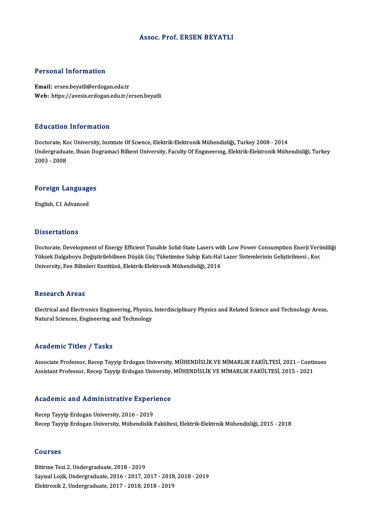### Assoc. Prof. ERSEN BEYATLI

### Personal Information

Email: ersen.beyatli@erdogan.edu.tr Web: https://avesis.erdogan.edu.tr/ersen.beyatli

### Education Information

Education Information<br>Doctorate, Koc University, Institute Of Science, Elektrik-Elektronik Mühendisliği, Turkey 2008 - 2014<br>Undersreduate Ibean Destamaci Billient University, Faculty Of Engueerung, Elektrik, Elektronik Müh Undergraduate, Ihsan Dogramaci Bilkent University, Faculty Of Engıneerıng, Elektrik-Elektronik Mühendisliği, Turkey<br>2003 - 2008 Doctorate, Ko<br>Undergradua<br>2003 - 2008

## <sub>2003 - 2008</sub><br>Foreign Languages <mark>Foreign Languag</mark>e<br>English, C1 Advanced

English, C1 Advanced<br>Dissertations

Doctorate, Development of Energy Efficient Tunable Solid-State Lasers with Low Power Consumption Enerji Verimliliği Yüsser tatrons<br>Doctorate, Development of Energy Efficient Tunable Solid-State Lasers with Low Power Consumption Enerji Verii<br>Yüksek Dalgaboyu Değiştirilebilinen Düşük Güç Tüketimine Sahip Katı-Hal Lazer Sistemlerinin Geliş Doctorate, Development of Energy Efficient Tunable Solid-State Lasers wit<br>Yüksek Dalgaboyu Değiştirilebilinen Düşük Güç Tüketimine Sahip Katı-Hal<br>University, Fen Bilimleri Enstitüsü, Elektrik-Elektronik Mühendisliği, 2014 University, Fen Bilimleri Enstitüsü, Elektrik-Elektronik Mühendisliği, 2014<br>Research Areas

Research Areas<br>Electrical and Electronics Engineering, Physics, Interdisciplinary Physics and Related Science and Technology Areas,<br>Natural Sciences, Engineering and Technology Nebeur en 111 eus<br>Electrical and Electronics Engineering, Physics,<br>Natural Sciences, Engineering and Technology Natural Sciences, Engineering and Technology<br>Academic Titles / Tasks

Academic Titles / Tasks<br>Associate Professor, Recep Tayyip Erdogan University, MÜHENDİSLİK VE MİMARLIK FAKÜLTESİ, 2021 - Continues<br>Assistant Professor, Recep Tayyip Erdoson University, MÜHENDİSLİK VE MİMARLIK FAKÜLTESİ, 202 -reddemile Titles / Tasks<br>Associate Professor, Recep Tayyip Erdogan University, MÜHENDİSLİK VE MİMARLIK FAKÜLTESİ, 2021 - Conti<br>Assistant Professor, Recep Tayyip Erdogan University, MÜHENDİSLİK VE MİMARLIK FAKÜLTESİ, 2015

# Assistant Professor, Recep Tayyip Erdogan University,<br>Academic and Administrative Experience

Academic and Administrative Experi<br>Recep Tayyip Erdogan University, 2016 - 2019<br>Becep Tayyip Erdogan University, Mühandislik Recep Tayyip Erdogan University, 2016 - 2019<br>Recep Tayyip Erdogan University, Mühendislik Fakültesi, Elektrik-Elektrnik Mühendisliği, 2015 - 2018

### Courses

Bitirme Tezi 2, Undergraduate, 2018 - 2019 SSATISS<br>Bitirme Tezi 2, Undergraduate, 2018 - 2019<br>Sayısal Lojik, Undergraduate, 2016 - 2017, 2017 - 2018, 2018 - 2019<br>Flaktronik 2, Undergraduate, 2017, 2018, 2019, 2019 Bitirme Tezi 2, Undergraduate, 2018 - 2019<br>Sayısal Lojik, Undergraduate, 2016 - 2017, 2017 - 2018<br>Elektronik 2, Undergraduate, 2017 - 2018, 2018 - 2019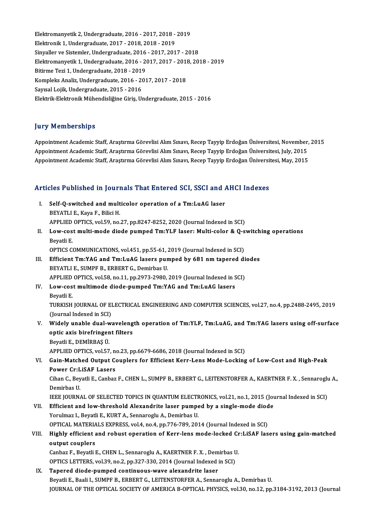elektromanyetik 2, Undergraduate, 2016 - 2017, 2018 - 2019<br>Elektromanyetik 2, Undergraduate, 2016 - 2017, 2018 - 2019 Elektromanyetik 2, Undergraduate, 2016 - 2017, 2018 -<br>Elektronik 1, Undergraduate, 2017 - 2018, 2018 - 2019<br>Sinveller ve Sistemler, Undergraduate, 2016 - 2017, 201 Elektromanyetik 2, Undergraduate, 2016 - 2017, 2018 - 2019<br>Elektronik 1, Undergraduate, 2017 - 2018, 2018 - 2019<br>Sinyaller ve Sistemler, Undergraduate, 2016 - 2017, 2017 - 2018<br>Elektromanyetik 1, Undergraduate, 2016 - 2017 Elektronik 1, Undergraduate, 2017 - 2018, 2018 - 2019<br>Sinyaller ve Sistemler, Undergraduate, 2016 - 2017, 2017 - 2018<br>Elektromanyetik 1, Undergraduate, 2016 - 2017, 2017 - 2018, 2018 - 2019<br>Bitirme Teri 1, Undergraduate, 2 Sinyaller ve Sistemler, Undergraduate, 2016<br>Elektromanyetik 1, Undergraduate, 2016 - 20<br>Bitirme Tezi 1, Undergraduate, 2018 - 2019<br>Kompleks Apeliz, Undergraduate, 2016 - 201 Elektromanyetik 1, Undergraduate, 2016 - 2017, 2017 - 2013<br>Bitirme Tezi 1, Undergraduate, 2018 - 2019<br>Kompleks Analiz, Undergraduate, 2016 - 2017, 2017 - 2018<br>Sayıcal Lejik, Undergraduate, 2015 - 2016 Bitirme Tezi 1, Undergraduate, 2018 - 2019<br>Kompleks Analiz, Undergraduate, 2016 - 2017, 2017 - 2018<br>Sayısal Lojik, Undergraduate, 2015 - 2016 Elektrik-ElektronikMühendisliğineGiriş,Undergraduate,2015 -2016

### **Jury Memberships**

**Jury Memberships**<br>Appointment Academic Staff, Araştırma Görevlisi Alım Sınavı, Recep Tayyip Erdoğan Üniversitesi, November, 2015<br>Anneintment Academic Staff, Arastırma Görevlisi Alım Sınavı, Recep Tayyip Erdoğan Üniversite yary "Azimbereniye"<br>Appointment Academic Staff, Araştırma Görevlisi Alım Sınavı, Recep Tayyip Erdoğan Üniversitesi, November<br>Appointment Academic Staff, Araştırma Görevlisi Alım Sınavı, Recep Tayyip Erdoğan Üniversitesi, J Appointment Academic Staff, Araştırma Görevlisi Alım Sınavı, Recep Tayyip Erdoğan Üniversitesi, November,<br>Appointment Academic Staff, Araştırma Görevlisi Alım Sınavı, Recep Tayyip Erdoğan Üniversitesi, July, 2015<br>Appointme

# Appointment Academic Stari, Araşurma Görevilsi Allm Sinavi, Recep Tayyip Erdogan Universit<br>Articles Published in Journals That Entered SCI, SSCI and AHCI Indexes

rticles Published in Journals That Entered SCI, SSCI and A<br>I. Self-Q-switched and multicolor operation of a Tm:LuAG laser<br>PEVATLLE Kave E. Bilici H I. Self-Q-switched and multicolor operation of a Tm:LuAG laser<br>BEYATLI E., Kaya F., Bilici H. Self-Q-switched and multicolor operation of a Tm:LuAG laser<br>BEYATLI E., Kaya F., Bilici H.<br>APPLIED OPTICS, vol.59, no.27, pp.8247-8252, 2020 (Journal Indexed in SCI)<br>Low sest multi mode diede numped Tm:VLE laser: Multi sel BEYATLI E., Kaya F., Bilici H.<br>APPLIED OPTICS, vol.59, no.27, pp.8247-8252, 2020 (Journal Indexed in SCI)<br>II. Low-cost multi-mode diode pumped Tm:YLF laser: Multi-color & Q-switching operations<br>Payatli E APPLIED<br>Low-cos<br>Beyatli E.<br>OPTICS C Low-cost multi-mode diode pumped Tm:YLF laser: Multi-color & Q-s<br>Beyatli E.<br>OPTICS COMMUNICATIONS, vol.451, pp.55-61, 2019 (Journal Indexed in SCI)<br>Efficient Tm:YAC and Tm:LuAC lasers numped by 681 nm tanered di

OPTICS COMMUNICATIONS, vol.451, pp.55-61, 2019 (Journal Indexed in SCI)

- Beyatli E.<br>OPTICS COMMUNICATIONS, vol.451, pp.55-61, 2019 (Journal Indexed in SCI)<br>III. Efficient Tm:YAG and Tm:LuAG lasers pumped by 681 nm tapered diodes<br>BEYATLI E., SUMPF B., ERBERT G., Demirbas U. APPLIED OPTICS, vol.58, no.11, pp.2973-2980, 2019 (Journal Indexed in SCI) BEYATLI E., SUMPF B., ERBERT G., Demirbas U.<br>APPLIED OPTICS, vol.58, no.11, pp.2973-2980, 2019 (Journal Indexed in S<br>IV. Low-cost multimode diode-pumped Tm:YAG and Tm:LuAG lasers<br>Boyatli E
- APPLIED<br>Low-cos<br>Beyatli E.<br>TUPLISH Low-cost multimode diode-pumped Tm:YAG and Tm:LuAG lasers<br>Beyatli E.<br>TURKISH JOURNAL OF ELECTRICAL ENGINEERING AND COMPUTER SCIENCES, vol.27, no.4, pp.2488-2495, 2019<br>(Jaunnal Indoved in SCI) Beyatli E.<br>TURKISH JOURNAL OF EI<br>(Journal Indexed in SCI)<br>Widely unable duel w
- TURKISH JOURNAL OF ELECTRICAL ENGINEERING AND COMPUTER SCIENCES, vol.27, no.4, pp.2488-2495, 2019<br>(Journal Indexed in SCI)<br>V. Widely unable dual-wavelength operation of Tm:YLF, Tm:LuAG, and Tm:YAG lasers using off-surface<br> (Journal Indexed in SCI)<br>Widely unable dual-waveleng<br>optic axis birefringent filters<br>Boyatli E. DEMIPPAS Ü Widely unable dual-w<br>optic axis birefringen<br>Beyatli E., DEMİRBAŞ Ü.<br>APPLED OPTICS vel 57 optic axis birefringent filters<br>Beyatli E., DEMİRBAŞ Ü.<br>APPLIED OPTICS, vol.57, no.23, pp.6679-6686, 2018 (Journal Indexed in SCI)
	-

Beyatli E., DEMİRBAŞ Ü.<br>APPLIED OPTICS, vol.57, no.23, pp.6679-6686, 2018 (Journal Indexed in SCI)<br>VI. Gain-Matched Output Couplers for Efficient Kerr-Lens Mode-Locking of Low-Cost and High-Peak<br>Rower Cryl iSAE Lasors APPLIED OPTICS, vol.57, n<br>Gain-Matched Output Co<br>Power Cr:LiSAF Lasers<br>Ciban C. Boyatli E. Canbar Gain-Matched Output Couplers for Efficient Kerr-Lens Mode-Locking of Low-Cost and High-Peak<br>Power Cr:LiSAF Lasers<br>Cihan C., Beyatli E., Canbaz F., CHEN L., SUMPF B., ERBERT G., LEITENSTORFER A., KAERTNER F. X. , Sennaroglu

Power Cr:LiSAF Lasers<br>Cihan C., Beyatli E., Canbaz F., CHEN L., SUMPF B., ERBERT G., LEITENSTORFER A., KAERTNER F. X. , Sennaroglu A.,<br>Demirbas U. Cihan C., Beyatli E., Canbaz F., CHEN L., SUMPF B., ERBERT G., LEITENSTORFER A., KAERTNER F. X. , Sennaroglu<br>Demirbas U.<br>IEEE JOURNAL OF SELECTED TOPICS IN QUANTUM ELECTRONICS, vol.21, no.1, 2015 (Journal Indexed in SCI)<br>E

Demirbas U.<br>IEEE JOURNAL OF SELECTED TOPICS IN QUANTUM ELECTRONICS, vol.21, no.1, 2015 (Journal of SELECTED TOPICS IN QUANTUM ELECTRONICS, vol.21, no.1, 2015 (Journal of Million Company of Povertil E. KIIBT A. Sennemergiu IEEE JOURNAL OF SELECTED TOPICS IN QUANTUM ELECTF<br>Efficient and low-threshold Alexandrite laser pumpe<br>Yorulmaz I., Beyatli E., KURT A., Sennaroglu A., Demirbas U.<br>OPTICAL MATERIALS EVPRESS .vol.4, po.4, pp.776, 799, 201 VII. Efficient and low-threshold Alexandrite laser pumped by a single-mode diode<br>Yorulmaz I., Beyatli E., KURT A., Sennaroglu A., Demirbas U.<br>OPTICAL MATERIALS EXPRESS, vol.4, no.4, pp.776-789, 2014 (Journal Indexed in SCI Yorulmaz I., Beyatli E., KURT A., Sennaroglu A., Demirbas U.<br>OPTICAL MATERIALS EXPRESS, vol.4, no.4, pp.776-789, 2014 (Journal Indexed in SCI)<br>VIII. Highly efficient and robust operation of Kerr-lens mode-locked Cr:LiSAF l

### output couplers Highly efficient and robust operation of Kerr-lens mode-locked Cr<br>output couplers<br>Canbaz F., Beyatli E., CHEN L., Sennaroglu A., KAERTNER F. X. , Demirbas U.<br>OPTICS LETTERS, vol.29, no.2, np.227, 220, 2014 (Journal Indoved

Canbaz F., Beyatli E., CHEN L., Sennaroglu A., KAERTNER F. X., Demirbas U.<br>OPTICS LETTERS, vol.39, no.2, pp.327-330, 2014 (Journal Indexed in SCI)

IX. Tapered diode-pumped continuous-wave alexandrite laser Beyatli E., Baali I., SUMPF B., ERBERT G., LEITENSTORFER A., Sennaroglu A., Demirbas U. JOURNAL OF THE OPTICAL SOCIETY OF AMERICA B-OPTICAL PHYSICS, vol.30, no.12, pp.3184-3192, 2013 (Journal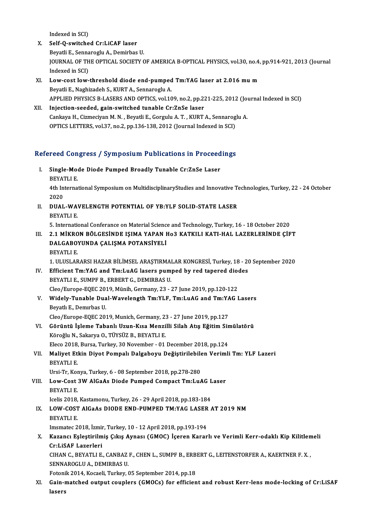Indexed in SCI)

- X. Self-Q-switched Cr:LiCAF laser BeyatliE.,SennarogluA.,DemirbasU. Self-Q-switched Cr:LiCAF laser<br>Beyatli E., Sennaroglu A., Demirbas U.<br>JOURNAL OF THE OPTICAL SOCIETY OF AMERICA B-OPTICAL PHYSICS, vol.30, no.4, pp.914-921, 2013 (Journal Beyatli E., Senna<br>JOURNAL OF TH<br>Indexed in SCI)<br>Low sest low XI. Low-cost low-threshold diode end-pumped Tm:YAG laser at 2.016mum
- Beyatli E., Naghizadeh S., KURT A., Sennaroglu A. APPLIED PHYSICS B-LASERS AND OPTICS, vol.109, no.2, pp.221-225, 2012 (Journal Indexed in SCI)
- XII. Injection-seeded, gain-switched tunable Cr:ZnSe laser APPLIED PHYSICS B-LASERS AND OPTICS, vol.109, no.2, pp.221-225, 2012 (Journal Injection-seeded, gain-switched tunable Cr:ZnSe laser<br>Cankaya H., Cizmeciyan M.N. , Beyatli E., Gorgulu A. T. , KURT A., Sennaroglu A.<br>OPTICS LE Injection-seeded, gain-switched tunable Cr:ZnSe laser<br>Cankaya H., Cizmeciyan M. N. , Beyatli E., Gorgulu A. T. , KURT A., Sennarog<br>OPTICS LETTERS, vol.37, no.2, pp.136-138, 2012 (Journal Indexed in SCI)

# optics LETTERS, vol.37, no.2, pp.136-138, 2012 (journal indexed in SCI)<br>Refereed Congress / Symposium Publications in Proceedings

- efereed Congress / Symposium Publications in Proceed<br>I. Single-Mode Diode Pumped Broadly Tunable Cr:ZnSe Laser I. Single-Mode Diode Pumped Broadly Tunable Cr:ZnSe Laser<br>BEYATLI E. Single-Mode Diode Pumped Broadly Tunable Cr:ZnSe Laser<br>BEYATLI E.<br>4th International Symposium on MultidisciplinaryStudies and Innovative Technologies, Turkey, 22 - 24 October<br>2020 **BEYAT**<br>4th In<br>2020<br>DUAL 4th International Symposium on MultidisciplinaryStudies and Innovative To<br>2020<br>II. DUAL-WAVELENGTH POTENTIAL OF YB:YLF SOLID-STATE LASER<br>PEVATUE
- 2020<br>II. DUAL-WAVELENGTH POTENTIAL OF YB:YLF SOLID-STATE LASER<br>BEYATLI E.

5. International Conferance on Material Science and Technology, Turkey, 16 - 18 October 2020

- BEYATLI E.<br>5. International Conferance on Material Science and Technology, Turkey, 16 18 October 2020<br>III. 2.1 MİKRON BÖLGESİNDE IŞIMA YAPAN HO3 KATKILI KATI-HAL LAZERLERİNDE ÇİFT<br>DALCAROVUNDA CALISMA ROTANSİYELİ 5. International Conferance on Material Scienc<br>2.1 MİKRON BÖLGESİNDE IŞIMA YAPAN I<br>DALGABOYUNDA ÇALIŞMA POTANSİYELİ<br>PEYATLLE **2.1 MİKRO<br>DALGABO'<br>BEYATLI E.**<br>1 JU USLAR 1.DALGABOYUNDA ÇALIŞMA POTANSİYELİ<br>1. ULUSLARARSI HAZAR BİLİMSEL ARAŞTIRMALAR KONGRESİ, Turkey, 18 - 20 September 2020
	-

- BEYATLI E.<br>1. ULUSLARARSI HAZAR BİLİMSEL ARAŞTIRMALAR KONGRESİ, Turkey, 18 20<br>IV. Efficient Tm:YAG and Tm:LuAG lasers pumped by red tapered diodes<br>PEYATLLE, SUMPE P. EPPERT.C. DEMIPPAS U 1. ULUSLARARSI HAZAR BİLİMSEL ARAŞTIRMA<br>Efficient Tm:YAG and Tm:LuAG lasers pum<br>BEYATLI E., SUMPF B., ERBERT G., DEMIRBAS U.<br>Clea (Europe FOEC 2019, Münih, Cermany, 22 Efficient Tm:YAG and Tm:LuAG lasers pumped by red tapered dioe<br>BEYATLI E., SUMPF B., ERBERT G., DEMIRBAS U.<br>Cleo/Europe-EQEC 2019, Münih, Germany, 23 - 27 June 2019, pp.120-122<br>Widely Tuneble Dual Weyelength Tm:YLE Tm:JuAG BEYATLI E., SUMPF B., ERBERT G., DEMIRBAS U.<br>Cleo/Europe-EQEC 2019, Münih, Germany, 23 - 27 June 2019, pp.120-122<br>V. Widely-Tunable Dual-Wavelength Tm:YLF, Tm:LuAG and Tm:YAG Lasers<br>Peyath E. Demyrbes U.
- Cleo/Europe-EQEC 201<br>Widely-Tunable Dua<br>Beyatlı E., Demırbas U.<br>Cleo/Europe FOEC 201 Widely-Tunable Dual-Wavelength Tm:YLF, Tm:LuAG and Tm:YA<br>Beyatlı E., Demırbas U.<br>Cleo/Europe-EQEC 2019, Munich, Germany, 23 - 27 June 2019, pp.127<br>Cönüntü İslama Tabanlı Huun Kısa Mangilli Silah Atıs Eğitim Sir Beyatlı E., Demırbas U.<br>Cleo/Europe-EQEC 2019, Munich, Germany, 23 - 27 June 2019, pp.127<br>VI. Görüntü İşleme Tabanlı Uzun-Kısa Menzilli Silah Atış Eğitim Simülatörü
	-
- Köroğlu N., Sakarya O., TÜYSÜZ B., BEYATLI E. Eleco 2018, Bursa, Turkey, 30 November - 01 December 2018, pp.124 Köroğlu N., Sakarya O., TÜYSÜZ B., BEYATLI E.<br>Eleco 2018, Bursa, Turkey, 30 November - 01 December 2018, pp.124<br>VII. Maliyet Etkin Diyot Pompalı Dalgaboyu Değiştirilebilen Verimli Tm: YLF Lazeri<br>PEYATLLE
- Eleco 2018,<br>Maliyet Etl<br>BEYATLI E.<br>Ursi Tr. Kot Maliyet Etkin Diyot Pompalı Dalgaboyu Değiştirilebile<br>BEYATLI E.<br>Ursi-Tr, Konya, Turkey, 6 - 08 September 2018, pp.278-280<br>Law Cost 3W AlGaAs Diade Burnad Compast Trul u

```
BEYATLI E.<br>Ursi-Tr, Konya, Turkey, 6 - 08 September 2018, pp.278-280<br>VIII.     Low-Cost 3W AlGaAs Diode Pumped Compact Tm:LuAG Laser<br>PEYATLLE
     Ursi-Tr, Kor<br>Low-Cost<br>BEYATLI E.<br>Jeolis 2019
     Low-Cost 3W AlGaAs Diode Pumped Compact Tm:LuAG L<br>BEYATLI E.<br>Icelis 2018, Kastamonu, Turkey, 26 - 29 April 2018, pp.183-184<br>LOW COST AlGaAs DIODE END BUMBED TM:VAC LASER 4
```
BEYATLI E.<br>Icelis 2018, Kastamonu, Turkey, 26 - 29 April 2018, pp.183-184<br>IX. LOW-COST AlGaAs DIODE END-PUMPED TM:YAG LASER AT 2019 NM Icelis 2018,<br>**LOW-COST**<br>BEYATLI E.<br>Imematos 2 LOW-COST AlGaAs DIODE END-PUMPED TM:YAG LASER<br>BEYATLI E.<br>Imsmatec 2018, İzmir, Turkey, 10 - 12 April 2018, pp.193-194<br>Kazancı Eslectivilmiş Cıkış Aynası (CMOC), İsanan Kanan

### BEYATLI E.<br>Imsmatec 2018, İzmir, Turkey, 10 - 12 April 2018, pp.193-194<br>X. Kazancı Eşleştirilmiş Çıkış Aynası (GMOC) İçeren Kararlı ve Verimli Kerr-odaklı Kip Kilitlemeli<br>Cul iSAE Lazarlari Imsmatec 2018, İzmi<br>Kazancı Eşleştirilm<br>Cr:LiSAF Lazerleri<br>CIHAN C. BEYATLLE Kazancı Eşleştirilmiş Çıkış Aynası (GMOC) İçeren Kararlı ve Verimli Kerr-odaklı Kip Kilitlen<br>Cr:LiSAF Lazerleri<br>CIHAN C., BEYATLI E., CANBAZ F., CHEN L., SUMPF B., ERBERT G., LEITENSTORFER A., KAERTNER F. X. ,<br>SENNAROCLU A Cr:LISAF Lazerleri<br>CIHAN C., BEYATLI E., CANBAZ F., CHEN L., SUMPF B., ERBERT G., LEITENSTORFER A., KAERTNER F. X. ,<br>SENNAROGLU A., DEMIRBAS U.

Fotonik 2014, Kocaeli, Turkey, 05 September 2014, pp.18

SENNAROGLU A., DEMIRBAS U.<br>Fotonik 2014, Kocaeli, Turkey, 05 September 2014, pp.18<br>XI. Gain-matched output couplers (GMOCs) for efficient and robust Kerr-lens mode-locking of Cr:LiSAF<br>lasers Fotoni<br>Gain-1<br>lasers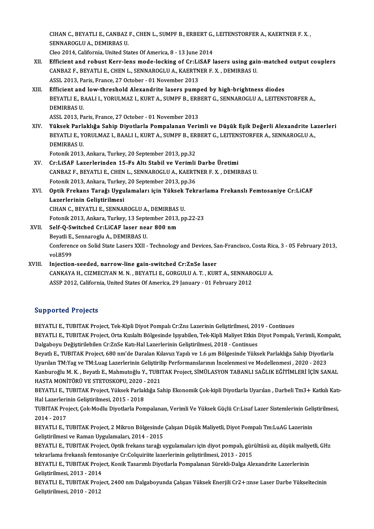CIHAN C., BEYATLI E., CANBAZ F., CHEN L., SUMPF B., ERBERT G., LEITENSTORFER A., KAERTNER F. X. ,<br>SENNAROCLU A. DEMIRRAS U CIHAN C., BEYATLI E., CANBAZ<br>SENNAROGLU A., DEMIRBAS U.<br>Clas 2014, California, United Str CIHAN C., BEYATLI E., CANBAZ F., CHEN L., SUMPF B., ERBERT G.,<br>SENNAROGLU A., DEMIRBAS U.<br>Cleo 2014, California, United States Of America, 8 - 13 June 2014<br>Efficient and rebust Kerr Jens mode Jeskins of Crul iSAE J

- SENNAROGLU A., DEMIRBAS U.<br>Cleo 2014, California, United States Of America, 8 13 June 2014<br>XII. Efficient and robust Kerr-lens mode-locking of Cr:LiSAF lasers using gain-matched output couplers<br>CANBAZE BEVATLLE CUEN L. S Cleo 2014, California, United States Of America, 8 - 13 June 2014<br>Efficient and robust Kerr-lens mode-locking of Cr:LiSAF lasers using gai:<br>CANBAZ F., BEYATLI E., CHEN L., SENNAROGLU A., KAERTNER F. X. , DEMIRBAS U.<br>ASSI 2 Efficient and robust Kerr-lens mode-locking of Cr:Li<br>CANBAZ F., BEYATLI E., CHEN L., SENNAROGLU A., KAERTN<br>ASSL 2013, Paris, France, 27 October - 01 November 2013<br>Efficient and lew threshold Alexandrite lasers numn CANBAZ F., BEYATLI E., CHEN L., SENNAROGLU A., KAERTNER F. X. , DEMIRBAS U.<br>ASSL 2013, Paris, France, 27 October - 01 November 2013<br>XIII. Efficient and low-threshold Alexandrite lasers pumped by high-brightness diodes<br>PEYA
- ASSL 2013, Paris, France, 27 October 01 November 2013<br>Efficient and low-threshold Alexandrite lasers pumped by high-brightness diodes<br>BEYATLI E., BAALI I., YORULMAZ I., KURT A., SUMPF B., ERBERT G., SENNAROGLU A., LEITEN Efficient and<br>BEYATLI E., B.<br>DEMIRBAS U.<br>ASSI 2012 Be BEYATLI E., BAALI I., YORULMAZ I., KURT A., SUMPF B., ERB<br>DEMIRBAS U.<br>ASSL 2013, Paris, France, 27 October - 01 November 2013<br>Vükaak Barlaklığa Sabin Diyatlarla Bampalanan Vari

DEMIRBAS U.<br>ASSL 2013, Paris, France, 27 October - 01 November 2013<br>XIV. Yüksek Parlaklığa Sahip Diyotlarla Pompalanan Verimli ve Düşük Eşik Değerli Alexandrite Lazerleri<br>REVATLLE VORULMAZI, RAALLI KURT A, SUMBER, ERRE ASSL 2013, Paris, France, 27 October - 01 November 2013<br>Yüksek Parlaklığa Sahip Diyotlarla Pompalanan Verimli ve Düşük Eşik Değerli Alexandrite La<br>BEYATLI E., YORULMAZ I., BAALI I., KURT A., SUMPF B., ERBERT G., LEITENSTOR Yüksek Parl<mark>:</mark><br>BEYATLI E., Y<br>DEMIRBAS U.<br>Estanik 2012 BEYATLI E., YORULMAZ I., BAALI I., KURT A., SUMPF B., ERBERT G., LEITENSTORFER A., SENNAROGLU A.,<br>DEMIRBAS U.<br>Fotonik 2013, Ankara, Turkey, 20 September 2013, pp.32

- XV. Cr:LiSAF Lazerlerinden 15-Fs Altı Stabil ve Verimli Darbe Üretimi Fotonik 2013, Ankara, Turkey, 20 September 2013, pp.32<br>Cr:LiSAF Lazerlerinden 15-Fs Altı Stabil ve Verimli Darbe Üretimi<br>CANBAZ F., BEYATLI E., CHEN L., SENNAROGLU A., KAERTNER F. X. , DEMIRBAS U.<br>Fetonik 2013, Ankara, Tur Cr:LiSAF Lazerlerinden 15-Fs Altı Stabil ve Verimli<br>CANBAZ F., BEYATLI E., CHEN L., SENNAROGLU A., KAERT<br>Fotonik 2013, Ankara, Turkey, 20 September 2013, pp.36<br>Ontik Engkans Tanağı Hygulamaları için Vülsek Tekı Fotonik 2013, Ankara, Turkey, 20 September 2013, pp.36
- XVI. Optik Frekans Tarağı Uygulamaları için Yüksek Tekrarlama Frekanslı Femtosaniye Cr:LiCAF Optik Frekans Tarağı Uygulamaları için Yüksek<br>Lazerlerinin Geliştirilmesi<br>CIHAN C., BEYATLI E., SENNAROGLU A., DEMIRBAS U.<br>Fetenik 2012, Ankans Turkay 12 Sentember 2012, pr Lazerlerinin Geliştirilmesi<br>CIHAN C., BEYATLI E., SENNAROGLU A., DEMIRBAS U.<br>Fotonik 2013, Ankara, Turkey, 13 September 2013, pp.22-23<br>Self O. Suritsbed Cr.J. iCAE laser near 900 nm

CIHAN C., BEYATLI E., SENNAROGLU A., DEMIRBAS<br>Fotonik 2013, Ankara, Turkey, 13 September 2013,<br>XVII. Self-Q-Switched Cr:LiCAF laser near 800 nm Fotonik 2013, Ankara, Turkey, 13 Sept<br>Self-Q-Switched Cr:LiCAF laser nea<br>Beyatli E., Sennaroglu A., DEMIRBAS U.<br>Conference on Selid State Lasers YYU. Self-Q-Switched Cr:LiCAF laser near 800 nm<br>Beyatli E., Sennaroglu A., DEMIRBAS U.<br>Conference on Solid State Lasers XXII - Technology and Devices, San-Francisco, Costa Rica, 3 - 05 February 2013,<br>vel 8599. Beyatli E.,<br>Conferen<br>vol.8599<br>Injection Conference on Solid State Lasers XXII - Technology and Devices, Sa<br>vol.8599<br>XVIII. Injection-seeded, narrow-line gain-switched Cr:ZnSe laser<br>CANKAVA H\_CIZMECWAN M\_N\_\_REVATI LE\_CORCULU A\_T\_KUP

vol.8599<br>Injection-seeded, narrow-line gain-switched Cr:ZnSe laser<br>CANKAYA H., CIZMECIYAN M. N. , BEYATLI E., GORGULU A. T. , KURT A., SENNAROGLU A.<br>ASSP 2012, Colifornia United States Of America. 29 January - 01 February Injection-seeded, narrow-line gain-switched Cr:ZnSe laser<br>CANKAYA H., CIZMECIYAN M. N. , BEYATLI E., GORGULU A. T. , KURT A., SENNAR(<br>ASSP 2012, California, United States Of America, 29 January - 01 February 2012 ASSP 2012, California, United States Of America, 29 January - 01 February 2012<br>Supported Projects

BEYATLI E., TUBITAK Project, Tek-Kipli Diyot Pompalı Cr:Zns Lazerinin Geliştirilmesi, 2019 - Continues BEYATLI E., TUBITAK Project, Orta Kızılaltı Bölgesinde Işıyabilen, Tek-Kipli Maliyet Etkin Diyot Pompalı, Verimli, Kompakt, Dalgaboyu Değiştirilebilen Cr:ZnSe Katı-Hal Lazerlerinin Geliştirilmesi, 2018 - Continues BEYATLI E., TUBITAK Project, Orta Kızılaltı Bölgesinde Işıyabilen, Tek-Kipli Maliyet Etkin Diyot Pompalı, Verimli, Kompa<br>Dalgaboyu Değiştirilebilen Cr:ZnSe Katı-Hal Lazerlerinin Geliştirilmesi, 2018 - Continues<br>Beyatlı E., Dalgaboyu Değiştirilebilen Cr:ZnSe Katı-Hal Lazerlerinin Geliştirilmesi, 2018 - Continues<br>Beyatlı E., TUBITAK Project, 680 nm'de Daralan Kılavuz Yapılı ve 1.6 µm Bölgesinde Yüksek Parlaklığa Sahip Diyotlar<br>Uyarılan TM:Yag Beyatlı E., TUBITAK Project, 680 nm'de Daralan Kılavuz Yapılı ve 1.6 µm Bölgesinde Yüksek Parlaklığa Sahip Diyotlarla<br>Uyarılan TM:Yag ve TM:Luag Lazerlerinin Geliştirilip Performanslarının İncelenmesi ve Modellenmesi , 202 Uyarılan TM:Yag ve TM:Luag Lazerlerinin Geliştiril<br>Kanburoğlu M. K. , Beyatlı E., Mahmutoğlu Y., TUBI'<br>HASTA MONİTÖRÜ VE STETOSKOPU, 2020 - 2021<br>PEVATLLE, TUBITAK Project, Yüksek Barlaklığa Sa

Kanburoğlu M. K. , Beyatlı E., Mahmutoğlu Y., TUBITAK Project, SİMÜLASYON TABANLI SAĞLIK EĞİTİMLERİ İÇİN SANAL<br>HASTA MONİTÖRÜ VE STETOSKOPU, 2020 - 2021<br>BEYATLI E., TUBITAK Project, Yüksek Parlaklığa Sahip Ekonomik Çok-kip HASTA MONİTÖRÜ VE STETOSKOPU, 2020 -<br>BEYATLI E., TUBITAK Project, Yüksek Parlal<br>Hal Lazerlerinin Geliştirilmesi, 2015 - 2018<br>TUBITAK Project, Cok Modlu Divetlarla Per BEYATLI E., TUBITAK Project, Yüksek Parlaklığa Sahip Ekonomik Çok-kipli Diyotlarla Uyarılan , Darbeli Tm3+ Katkılı Katı<br>Hal Lazerlerinin Geliştirilmesi, 2015 - 2018<br>TUBITAK Project, Çok-Modlu Diyotlarla Pompalanan, Verimli

Hal Lazerlerinin Geliştirilmesi, 2015 - 2018<br>TUBITAK Project, Çok-Modlu Diyotlarla Pompalanan, Verimli Ve Yüksek Güçlü Cr:Lisaf Lazer Sistemlerinin Geliştirilmesi,<br>2014 - 2017 TUBITAK Project, Çok-Modlu Diyotlarla Pompalanan, Verimli Ve Yüksek Güçlü Cr:Lisaf Lazer Sistemlerinin Geli<br>2014 - 2017<br>BEYATLI E., TUBITAK Project, 2 Mikron Bölgesinde Çalışan Düşük Maliyetli, Diyot Pompalı Tm:LuAG Lazeri

2014 - 2017<br>BEYATLI E., TUBITAK Project, 2 Mikron Bölgesinde<br>Geliştirilmesi ve Raman Uygulamaları, 2014 - 2015<br>REYATLLE, TUBITAK Project, Optik frekans tarağı u BEYATLI E., TUBITAK Project, 2 Mikron Bölgesinde Çalışan Düşük Maliyetli, Diyot Pompalı Tm:LuAG Lazerinin<br>Geliştirilmesi ve Raman Uygulamaları, 2014 - 2015<br>BEYATLI E., TUBITAK Project, Optik frekans tarağı uygulamaları içi

Geliştirilmesi ve Raman Uygulamaları, 2014 - 2015<br>BEYATLI E., TUBITAK Project, Optik frekans tarağı uygulamaları için diyot pompalı, gür<br>tekrarlama frekanslı femtosaniye Cr:Colquiriite lazerlerinin geliştirilmesi, 2013 - 2 BEYATLI E., TUBITAK Project, Optik frekans tarağı uygulamaları için diyot pompalı, gürültüsü az, düşük maliye<br>tekrarlama frekanslı femtosaniye Cr:Colquiriite lazerlerinin geliştirilmesi, 2013 - 2015<br>BEYATLI E., TUBITAK Pro

tekrarlama frekanslı femtosaniye Cr:Colquiriite lazerlerinin geliştirilmesi, 2013 - 2015<br>BEYATLI E., TUBITAK Project, Konik Tasarımlı Diyotlarla Pompalanan Sürekli-Dalga Alexandrite Lazerlerinin<br>Gelistirilmesi, 2013 - 2014 BEYATLI E., TUBITAK Project, Konik Tasarımlı Diyotlarla Pompalanan Sürekli-Dalga Alexandrite Lazerlerinin<br>Geliştirilmesi, 2013 - 2014<br>BEYATLI E., TUBITAK Project, 2400 nm Dalgaboyunda Çalışan Yüksek Enerjili Cr2+:znse Lase

Geliştirilmesi, 2013 - 2014<br>BEYATLI E., TUBITAK Proj<br>Geliştirilmesi, 2010 - 2012